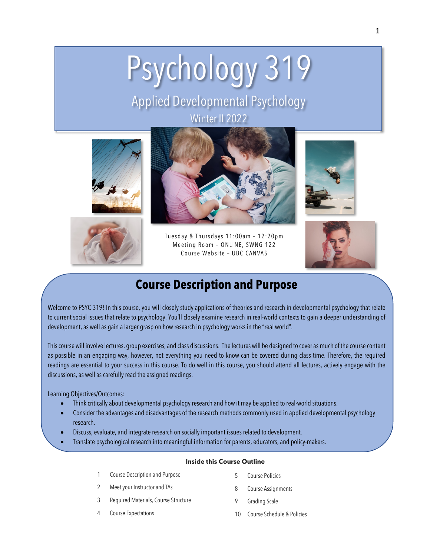# Psychology 319

# Applied Developmental Psychology Winter II 2022







Tuesday & Thursdays 11: 00am – 12:20p m Meeting Room – ONLINE, SWNG 122 Course Website – UBC CANVAS





# **Course Description and Purpose**

Welcome to PSYC 319! In this course, you will closely study applications of theories and research in developmental psychology that relate to current social issues that relate to psychology. You'll closely examine research in real-world contexts to gain a deeper understanding of development, as well as gain a larger grasp on how research in psychology works in the "real world".

This course will involve lectures, group exercises, and class discussions. The lectures will be designed to cover as much of the course content as possible in an engaging way, however, not everything you need to know can be covered during class time. Therefore, the required readings are essential to your success in this course. To do well in this course, you should attend all lectures, actively engage with the discussions, as well as carefully read the assigned readings.

Learning Objectives/Outcomes:

- Think critically about developmental psychology research and how it may be applied to real-world situations.
- Consider the advantages and disadvantages of the research methods commonly used in applied developmental psychology research.
- Discuss, evaluate, and integrate research on socially important issues related to development.
- Translate psychological research into meaningful information for parents, educators, and policy-makers.

#### **Inside this Course Outline**

- 1 Course Description and Purpose
- 2 Meet your Instructor and TAs
- 3 Required Materials, Course Structure
- 5 Course Policies
- 8 Course Assignments
- 9 Grading Scale

4 Course Expectations

10 Course Schedule & Policies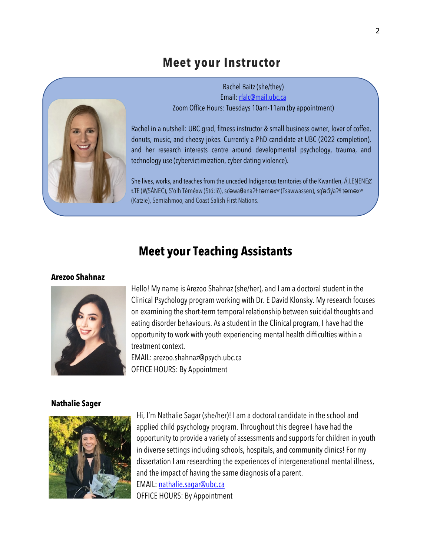### **Meet your Instructor**



Rachel Baitz (she/they) Email: rfalc@mail.ubc.ca Zoom Office Hours: Tuesdays 10am-11am (by appointment)

Rachel in a nutshell: UBC grad, fitness instructor & small business owner, lover of coffee, donuts, music, and cheesy jokes. Currently a PhD candidate at UBC (2022 completion), and her research interests centre around developmental psychology, trauma, and technology use (cybervictimization, cyber dating violence).

She lives, works, and teaches from the unceded Indigenous territories of the Kwantlen, Á,LENENEC ȽTE (WSÁNE ̱ Ć), S'ólh Téméxw (Stó:lō), sc̓əwa**θ**enaɁɬ təməxʷ (Tsawwassen), sq̓əc̓iy̓aɁɬ təməxʷ (Katzie), Semiahmoo, and Coast Salish First Nations.

# **Meet your Teaching Assistants**

#### **Arezoo Shahnaz**



Hello! My name is Arezoo Shahnaz (she/her), and I am a doctoral student in the Clinical Psychology program working with Dr. E David Klonsky. My research focuses on examining the short-term temporal relationship between suicidal thoughts and eating disorder behaviours. As a student in the Clinical program, I have had the opportunity to work with youth experiencing mental health difficulties within a treatment context.

EMAIL: arezoo.shahnaz@psych.ubc.ca OFFICE HOURS: By Appointment

#### **Nathalie Sager**



Hi, I'm Nathalie Sagar (she/her)! I am a doctoral candidate in the school and applied child psychology program. Throughout this degree I have had the opportunity to provide a variety of assessments and supports for children in youth in diverse settings including schools, hospitals, and community clinics! For my dissertation I am researching the experiences of intergenerational mental illness, and the impact of having the same diagnosis of a parent. EMAIL: nathalie.sagar@ubc.ca

OFFICE HOURS: By Appointment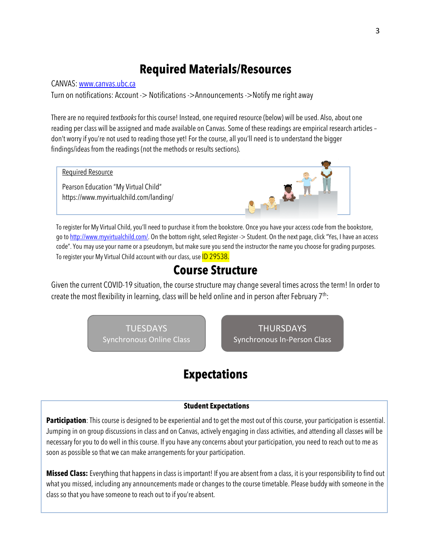# **Required Materials/Resources**

#### CANVAS: www.canvas.ubc.ca

Turn on notifications: Account -> Notifications ->Announcements ->Notify me right away

There are no required *textbooks* for this course! Instead, one required resource (below) will be used. Also, about one reading per class will be assigned and made available on Canvas. Some of these readings are empirical research articles – don't worry if you're not used to reading those yet! For the course, all you'll need is to understand the bigger findings/ideas from the readings (not the methods or results sections).



To register for My Virtual Child, you'll need to purchase it from the bookstore. Once you have your access code from the bookstore, go to http://www.myvirtualchild.com/. On the bottom right, select Register -> Student. On the next page, click "Yes, I have an access code". You may use your name or a pseudonym, but make sure you send the instructor the name you choose for grading purposes. To register your My Virtual Child account with our class, use **ID 29538.** 

## **Course Structure**

Given the current COVID-19 situation, the course structure may change several times across the term! In order to create the most flexibility in learning, class will be held online and in person after February  $7<sup>th</sup>$ :

> TUESDAYS Synchronous Online Class

THURSDAYS Synchronous In-Person Class

# **Expectations**

#### **Student Expectations**

Participation: This course is designed to be experiential and to get the most out of this course, your participation is essential. Jumping in on group discussions in class and on Canvas, actively engaging in class activities, and attending all classes will be necessary for you to do well in this course. If you have any concerns about your participation, you need to reach out to me as soon as possible so that we can make arrangements for your participation.

**Missed Class:** Everything that happens in class is important! If you are absent from a class, it is your responsibility to find out what you missed, including any announcements made or changes to the course timetable. Please buddy with someone in the class so that you have someone to reach out to if you're absent.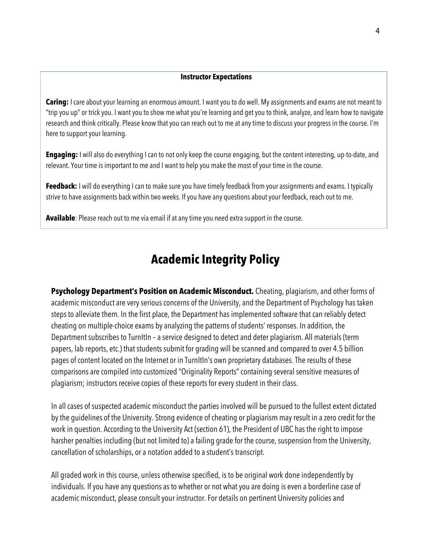#### **Instructor Expectations**

**Caring:** I care about your learning an enormous amount. I want you to do well. My assignments and exams are not meant to "trip you up" or trick you. I want you to show me what you're learning and get you to think, analyze, and learn how to navigate research and think critically. Please know that you can reach out to me at any time to discuss your progress in the course. I'm here to support your learning.

**Engaging:** I will also do everything I can to not only keep the course engaging, but the content interesting, up-to-date, and relevant. Your time is important to me and I want to help you make the most of your time in the course.

**Feedback:** I will do everything I can to make sure you have timely feedback from your assignments and exams. I typically strive to have assignments back within two weeks. If you have any questions about your feedback, reach out to me.

**Available**: Please reach out to me via email if at any time you need extra support in the course.

# **Academic Integrity Policy**

**Psychology Department's Position on Academic Misconduct.** Cheating, plagiarism, and other forms of academic misconduct are very serious concerns of the University, and the Department of Psychology has taken steps to alleviate them. In the first place, the Department has implemented software that can reliably detect cheating on multiple-choice exams by analyzing the patterns of students' responses. In addition, the Department subscribes to TurnItIn – a service designed to detect and deter plagiarism. All materials (term papers, lab reports, etc.) that students submit for grading will be scanned and compared to over 4.5 billion pages of content located on the Internet or in TurnItIn's own proprietary databases. The results of these comparisons are compiled into customized "Originality Reports" containing several sensitive measures of plagiarism; instructors receive copies of these reports for every student in their class.

In all cases of suspected academic misconduct the parties involved will be pursued to the fullest extent dictated by the guidelines of the University. Strong evidence of cheating or plagiarism may result in a zero credit for the work in question. According to the University Act (section 61), the President of UBC has the right to impose harsher penalties including (but not limited to) a failing grade for the course, suspension from the University, cancellation of scholarships, or a notation added to a student's transcript.

All graded work in this course, unless otherwise specified, is to be original work done independently by individuals. If you have any questions as to whether or not what you are doing is even a borderline case of academic misconduct, please consult your instructor. For details on pertinent University policies and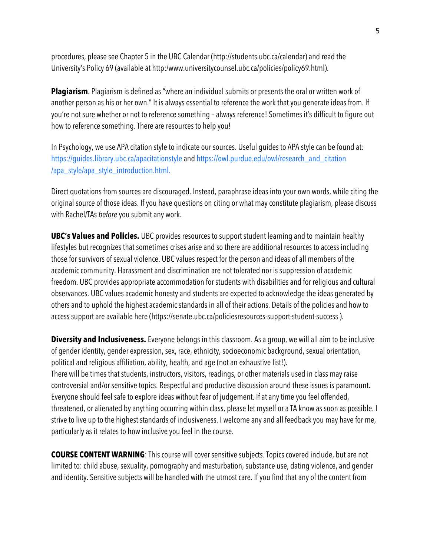procedures, please see Chapter 5 in the UBC Calendar (http://students.ubc.ca/calendar) and read the University's Policy 69 (available at http:/www.universitycounsel.ubc.ca/policies/policy69.html).

**Plagiarism**. Plagiarism is defined as "where an individual submits or presents the oral or written work of another person as his or her own." It is always essential to reference the work that you generate ideas from. If you're not sure whether or not to reference something – always reference! Sometimes it's difficult to figure out how to reference something. There are resources to help you!

In Psychology, we use APA citation style to indicate our sources. Useful guides to APA style can be found at: https://guides.library.ubc.ca/apacitationstyle and https://owl.purdue.edu/owl/research\_and\_citation /apa\_style/apa\_style\_introduction.html.

Direct quotations from sources are discouraged. Instead, paraphrase ideas into your own words, while citing the original source of those ideas. If you have questions on citing or what may constitute plagiarism, please discuss with Rachel/TAs *before* you submit any work.

**UBC's Values and Policies.** UBC provides resources to support student learning and to maintain healthy lifestyles but recognizes that sometimes crises arise and so there are additional resources to access including those for survivors of sexual violence. UBC values respect for the person and ideas of all members of the academic community. Harassment and discrimination are not tolerated nor is suppression of academic freedom. UBC provides appropriate accommodation for students with disabilities and for religious and cultural observances. UBC values academic honesty and students are expected to acknowledge the ideas generated by others and to uphold the highest academic standards in all of their actions. Details of the policies and how to access support are available here (https://senate.ubc.ca/policiesresources-support-student-success ).

**Diversity and Inclusiveness.** Everyone belongs in this classroom. As a group, we will all aim to be inclusive of gender identity, gender expression, sex, race, ethnicity, socioeconomic background, sexual orientation, political and religious affiliation, ability, health, and age (not an exhaustive list!). There will be times that students, instructors, visitors, readings, or other materials used in class may raise controversial and/or sensitive topics. Respectful and productive discussion around these issues is paramount. Everyone should feel safe to explore ideas without fear of judgement. If at any time you feel offended, threatened, or alienated by anything occurring within class, please let myself or a TA know as soon as possible. I strive to live up to the highest standards of inclusiveness. I welcome any and all feedback you may have for me, particularly as it relates to how inclusive you feel in the course.

**COURSE CONTENT WARNING**: This course will cover sensitive subjects. Topics covered include, but are not limited to: child abuse, sexuality, pornography and masturbation, substance use, dating violence, and gender and identity. Sensitive subjects will be handled with the utmost care. If you find that any of the content from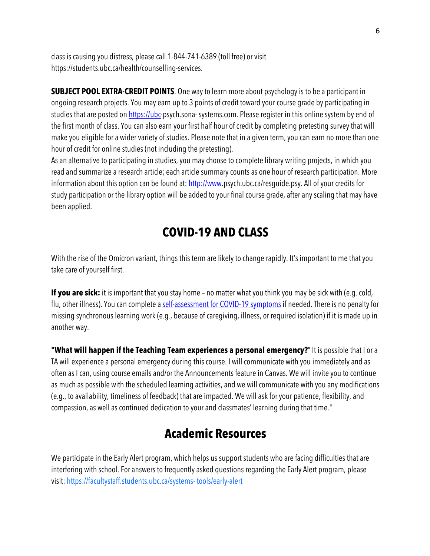class is causing you distress, please call 1-844-741-6389 (toll free) or visit https://students.ubc.ca/health/counselling-services.

**SUBJECT POOL EXTRA-CREDIT POINTS**. One way to learn more about psychology is to be a participant in ongoing research projects. You may earn up to 3 points of credit toward your course grade by participating in studies that are posted on https://ubc-psych.sona-systems.com. Please register in this online system by end of the first month of class. You can also earn your first half hour of credit by completing pretesting survey that will make you eligible for a wider variety of studies. Please note that in a given term, you can earn no more than one hour of credit for online studies (not including the pretesting).

As an alternative to participating in studies, you may choose to complete library writing projects, in which you read and summarize a research article; each article summary counts as one hour of research participation. More information about this option can be found at: http://www.psych.ubc.ca/resguide.psy. All of your credits for study participation or the library option will be added to your final course grade, after any scaling that may have been applied.

# **COVID-19 AND CLASS**

With the rise of the Omicron variant, things this term are likely to change rapidly. It's important to me that you take care of yourself first.

**If you are sick:** it is important that you stay home – no matter what you think you may be sick with (e.g. cold, flu, other illness). You can complete a self-assessment for COVID-19 symptoms if needed. There is no penalty for missing synchronous learning work (e.g., because of caregiving, illness, or required isolation) if it is made up in another way.

**"What will happen if the Teaching Team experiences a personal emergency?**" It is possible that I or a TA will experience a personal emergency during this course. I will communicate with you immediately and as often as I can, using course emails and/or the Announcements feature in Canvas. We will invite you to continue as much as possible with the scheduled learning activities, and we will communicate with you any modifications (e.g., to availability, timeliness of feedback) that are impacted. We will ask for your patience, flexibility, and compassion, as well as continued dedication to your and classmates' learning during that time."

# **Academic Resources**

We participate in the Early Alert program, which helps us support students who are facing difficulties that are interfering with school. For answers to frequently asked questions regarding the Early Alert program, please visit: https://facultystaff.students.ubc.ca/systems- tools/early-alert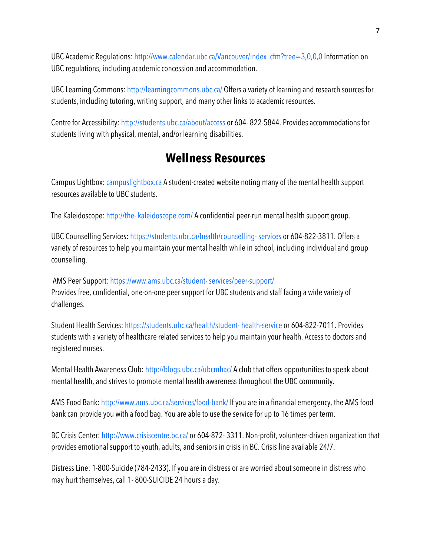UBC Academic Regulations: http://www.calendar.ubc.ca/Vancouver/index .cfm?tree=3,0,0,0 Information on UBC regulations, including academic concession and accommodation.

UBC Learning Commons: http://learningcommons.ubc.ca/ Offers a variety of learning and research sources for students, including tutoring, writing support, and many other links to academic resources.

Centre for Accessibility: http://students.ubc.ca/about/access or 604- 822-5844. Provides accommodations for students living with physical, mental, and/or learning disabilities.

# **Wellness Resources**

Campus Lightbox: campuslightbox.ca A student-created website noting many of the mental health support resources available to UBC students.

The Kaleidoscope: http://the- kaleidoscope.com/ A confidential peer-run mental health support group.

UBC Counselling Services: https://students.ubc.ca/health/counselling- services or 604-822-3811. Offers a variety of resources to help you maintain your mental health while in school, including individual and group counselling.

AMS Peer Support: https://www.ams.ubc.ca/student- services/peer-support/ Provides free, confidential, one-on-one peer support for UBC students and staff facing a wide variety of challenges.

Student Health Services: https://students.ubc.ca/health/student- health-service or 604-822-7011. Provides students with a variety of healthcare related services to help you maintain your health. Access to doctors and registered nurses.

Mental Health Awareness Club: http://blogs.ubc.ca/ubcmhac/ A club that offers opportunities to speak about mental health, and strives to promote mental health awareness throughout the UBC community.

AMS Food Bank: http://www.ams.ubc.ca/services/food-bank/ If you are in a financial emergency, the AMS food bank can provide you with a food bag. You are able to use the service for up to 16 times per term.

BC Crisis Center: http://www.crisiscentre.bc.ca/ or 604-872-3311. Non-profit, volunteer-driven organization that provides emotional support to youth, adults, and seniors in crisis in BC. Crisis line available 24/7.

Distress Line: 1-800-Suicide (784-2433). If you are in distress or are worried about someone in distress who may hurt themselves, call 1- 800-SUICIDE 24 hours a day.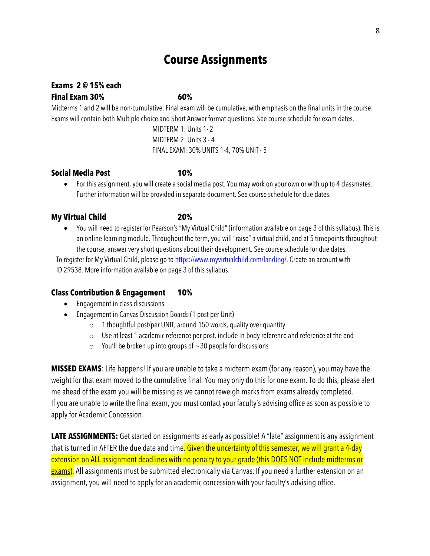# **Course Assignments**

# **Exams 2 @ 15% each**

### **Final Exam 30% 60%**

Midterms 1 and 2 will be non-cumulative. Final exam will be cumulative, with emphasis on the final units in the course. Exams will contain both Multiple choice and Short Answer format questions. See course schedule for exam dates.

> MIDTERM 1: Units 1- 2 MIDTERM 2: Units 3 - 4 FINAL EXAM: 30% UNITS 1-4, 70% UNIT - 5

#### **Social Media Post 10%**

• For this assignment, you will create a social media post. You may work on your own or with up to 4 classmates. Further information will be provided in separate document. See course schedule for due dates.

#### **My Virtual Child 20%**

• You will need to register for Pearson's "My Virtual Child" (information available on page 3 of this syllabus). This is an online learning module. Throughout the term, you will "raise" a virtual child, and at 5 timepoints throughout the course, answer very short questions about their development. See course schedule for due dates.

To register for My Virtual Child, please go to https://www.myvirtualchild.com/landing/. Create an account with ID 29538. More information available on page 3 of this syllabus.

#### **Class Contribution & Engagement 10%**

- Engagement in class discussions
- Engagement in Canvas Discussion Boards (1 post per Unit)
	- $\circ$  1 thoughtful post/per UNIT, around 150 words, quality over quantity.
	- o Use at least 1 academic reference per post, include in-body reference and reference at the end
	- $\circ$  You'll be broken up into groups of  $\sim$  30 people for discussions

**MISSED EXAMS**: Life happens! If you are unable to take a midterm exam (for any reason), you may have the weight for that exam moved to the cumulative final. You may only do this for one exam. To do this, please alert me ahead of the exam you will be missing as we cannot reweigh marks from exams already completed. If you are unable to write the final exam, you must contact your faculty's advising office as soon as possible to apply for Academic Concession.

**LATE ASSIGNMENTS:** Get started on assignments as early as possible! A "late" assignment is any assignment that is turned in AFTER the due date and time. Given the uncertainty of this semester, we will grant a 4-day extension on ALL assignment deadlines with no penalty to your grade (this DOES NOT include midterms or **exams).** All assignments must be submitted electronically via Canvas. If you need a further extension on an assignment, you will need to apply for an academic concession with your faculty's advising office.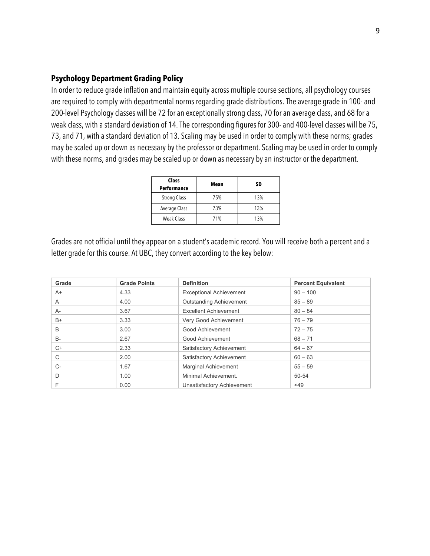#### **Psychology Department Grading Policy**

In order to reduce grade inflation and maintain equity across multiple course sections, all psychology courses are required to comply with departmental norms regarding grade distributions. The average grade in 100- and 200-level Psychology classes will be 72 for an exceptionally strong class, 70 for an average class, and 68 for a weak class, with a standard deviation of 14. The corresponding figures for 300- and 400-level classes will be 75, 73, and 71, with a standard deviation of 13. Scaling may be used in order to comply with these norms; grades may be scaled up or down as necessary by the professor or department. Scaling may be used in order to comply with these norms, and grades may be scaled up or down as necessary by an instructor or the department.

| <b>Class</b><br><b>Performance</b> | Mean | SD  |
|------------------------------------|------|-----|
| <b>Strong Class</b>                | 75%  | 13% |
| <b>Average Class</b>               | 73%  | 13% |
| <b>Weak Class</b>                  | 71%  | 13% |

Grades are not official until they appear on a student's academic record. You will receive both a percent and a letter grade for this course. At UBC, they convert according to the key below:

| Grade | <b>Grade Points</b> | <b>Definition</b>                 | <b>Percent Equivalent</b> |
|-------|---------------------|-----------------------------------|---------------------------|
| $A+$  | 4.33                | <b>Exceptional Achievement</b>    | $90 - 100$                |
| A     | 4.00                | <b>Outstanding Achievement</b>    | $85 - 89$                 |
| A-    | 3.67                | <b>Excellent Achievement</b>      | $80 - 84$                 |
| B+    | 3.33                | Very Good Achievement             | $76 - 79$                 |
| B     | 3.00                | Good Achievement                  | $72 - 75$                 |
| B-    | 2.67                | Good Achievement                  | $68 - 71$                 |
| $C+$  | 2.33                | Satisfactory Achievement          | $64 - 67$                 |
| С     | 2.00                | Satisfactory Achievement          | $60 - 63$                 |
| C-    | 1.67                | <b>Marginal Achievement</b>       | $55 - 59$                 |
| D     | 1.00                | Minimal Achievement.              | 50-54                     |
| F     | 0.00                | <b>Unsatisfactory Achievement</b> | $<$ 49                    |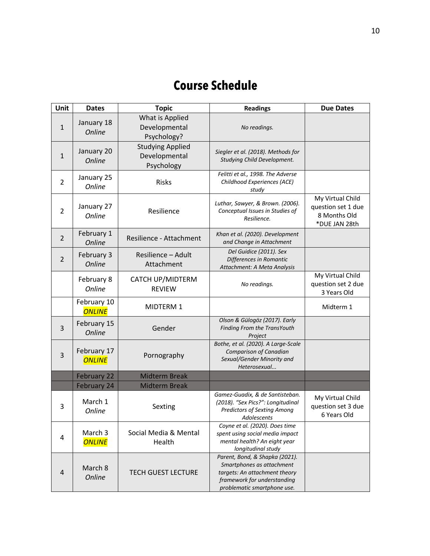# **Course Schedule**

| Unit           | <b>Dates</b>                 | <b>Topic</b>                                           | <b>Readings</b>                                                                                                                                            | <b>Due Dates</b>                                                        |
|----------------|------------------------------|--------------------------------------------------------|------------------------------------------------------------------------------------------------------------------------------------------------------------|-------------------------------------------------------------------------|
| $\mathbf{1}$   | January 18<br><b>Online</b>  | What is Applied<br>Developmental<br>Psychology?        | No readings.                                                                                                                                               |                                                                         |
| $\mathbf{1}$   | January 20<br><b>Online</b>  | <b>Studying Applied</b><br>Developmental<br>Psychology | Siegler et al. (2018). Methods for<br>Studying Child Development.                                                                                          |                                                                         |
| $\overline{2}$ | January 25<br>Online         | <b>Risks</b>                                           | Felitti et al., 1998. The Adverse<br>Childhood Experiences (ACE)<br>study                                                                                  |                                                                         |
| $\overline{2}$ | January 27<br>Online         | Resilience                                             | Luthar, Sawyer, & Brown. (2006).<br>Conceptual Issues in Studies of<br>Resilience.                                                                         | My Virtual Child<br>question set 1 due<br>8 Months Old<br>*DUE JAN 28th |
| $\overline{2}$ | February 1<br><b>Online</b>  | Resilience - Attachment                                | Khan et al. (2020). Development<br>and Change in Attachment                                                                                                |                                                                         |
| $\overline{2}$ | February 3<br><b>Online</b>  | Resilience - Adult<br>Attachment                       | Del Guidice (2011). Sex<br>Differences in Romantic<br>Attachment: A Meta Analysis                                                                          |                                                                         |
|                | February 8<br>Online         | CATCH UP/MIDTERM<br><b>REVIEW</b>                      | No readings.                                                                                                                                               | My Virtual Child<br>question set 2 due<br>3 Years Old                   |
|                | February 10<br><b>ONLINE</b> | MIDTERM 1                                              |                                                                                                                                                            | Midterm 1                                                               |
| 3              | February 15<br><b>Online</b> | Gender                                                 | Olson & Gülogöz (2017). Early<br>Finding From the TransYouth<br>Project                                                                                    |                                                                         |
| 3              | February 17<br><b>ONLINE</b> | Pornography                                            | Bothe, et al. (2020). A Large-Scale<br>Comparison of Canadian<br>Sexual/Gender Minority and<br>Heterosexual                                                |                                                                         |
|                | February 22                  | <b>Midterm Break</b>                                   |                                                                                                                                                            |                                                                         |
|                | February 24                  | <b>Midterm Break</b>                                   |                                                                                                                                                            |                                                                         |
| 3              | March 1<br><b>Online</b>     | Sexting                                                | Gamez-Guadix, & de Santisteban.<br>(2018). "Sex Pics?": Longitudinal<br><b>Predictors of Sexting Among</b><br>Adolescents                                  | My Virtual Child<br>question set 3 due<br>6 Years Old                   |
| 4              | March 3<br><b>ONLINE</b>     | Social Media & Mental<br>Health                        | Coyne et al. (2020). Does time<br>spent using social media impact<br>mental health? An eight year<br>longitudinal study                                    |                                                                         |
| 4              | March 8<br><b>Online</b>     | <b>TECH GUEST LECTURE</b>                              | Parent, Bond, & Shapka (2021).<br>Smartphones as attachment<br>targets: An attachment theory<br>framework for understanding<br>problematic smartphone use. |                                                                         |